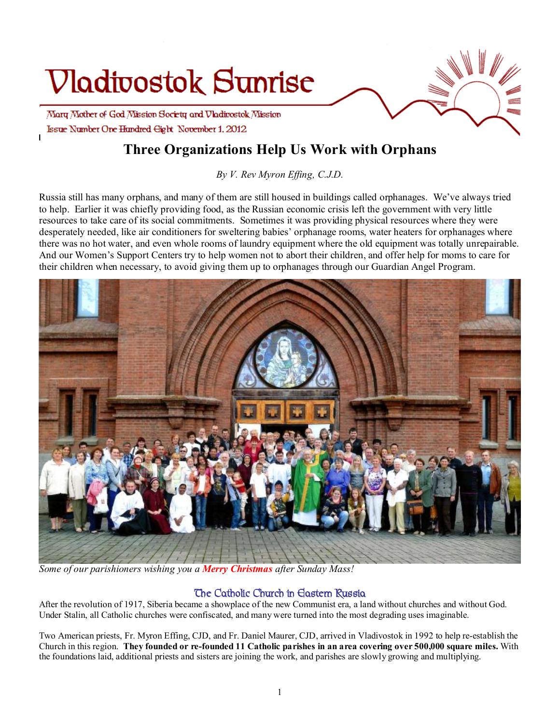# **Vladivostok Sunrise**

Mary Mother of God Mission Society and Vladirostok Mission Issue Number One Hundred Eight November 1, 2012

# **Three Organizations Help Us Work with Orphans**

*By V. Rev Myron Effing, C.J.D.* 

Russia still has many orphans, and many of them are still housed in buildings called orphanages. We've always tried to help. Earlier it was chiefly providing food, as the Russian economic crisis left the government with very little resources to take care of its social commitments. Sometimes it was providing physical resources where they were desperately needed, like air conditioners for sweltering babies' orphanage rooms, water heaters for orphanages where there was no hot water, and even whole rooms of laundry equipment where the old equipment was totally unrepairable. And our Women's Support Centers try to help women not to abort their children, and offer help for moms to care for their children when necessary, to avoid giving them up to orphanages through our Guardian Angel Program.



*Some of our parishioners wishing you a Merry Christmas after Sunday Mass!* 

## **The Catholic Church in Eastern Russia**

After the revolution of 1917, Siberia became a showplace of the new Communist era, a land without churches and without God. Under Stalin, all Catholic churches were confiscated, and many were turned into the most degrading uses imaginable.

Two American priests, Fr. Myron Effing, CJD, and Fr. Daniel Maurer, CJD, arrived in Vladivostok in 1992 to help re-establish the Church in this region. They founded or re-founded 11 Catholic parishes in an area covering over 500,000 square miles. With the foundations laid, additional priests and sisters are joining the work, and parishes are slowly growing and multiplying.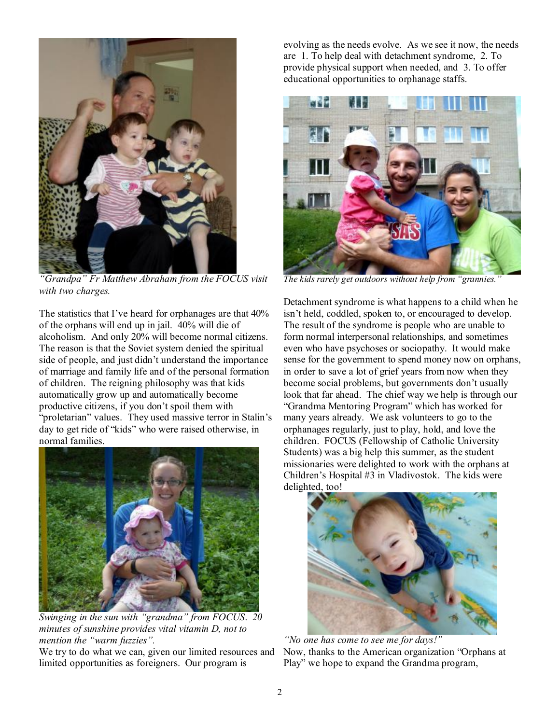

*"Grandpa" Fr Matthew Abraham from the FOCUS visit with two charges.* 

The statistics that I've heard for orphanages are that 40% of the orphans will end up in jail. 40% will die of alcoholism. And only 20% will become normal citizens. The reason is that the Soviet system denied the spiritual side of people, and just didn't understand the importance of marriage and family life and of the personal formation of children. The reigning philosophy was that kids automatically grow up and automatically become productive citizens, if you don't spoil them with "proletarian" values. They used massive terror in Stalin's day to get ride of "kids" who were raised otherwise, in normal families.



*Swinging in the sun with "grandma" from FOCUS*. *20 minutes of sunshine provides vital vitamin D, not to mention the "warm fuzzies".* 

We try to do what we can, given our limited resources and limited opportunities as foreigners. Our program is

evolving as the needs evolve. As we see it now, the needs are 1. To help deal with detachment syndrome, 2. To provide physical support when needed, and 3. To offer educational opportunities to orphanage staffs.



*The kids rarely get outdoors without help from "grannies."* 

Detachment syndrome is what happens to a child when he isn't held, coddled, spoken to, or encouraged to develop. The result of the syndrome is people who are unable to form normal interpersonal relationships, and sometimes even who have psychoses or sociopathy. It would make sense for the government to spend money now on orphans, in order to save a lot of grief years from now when they become social problems, but governments don't usually look that far ahead. The chief way we help is through our "Grandma Mentoring Program" which has worked for many years already. We ask volunteers to go to the orphanages regularly, just to play, hold, and love the children. FOCUS (Fellowship of Catholic University Students) was a big help this summer, as the student missionaries were delighted to work with the orphans at Children's Hospital #3 in Vladivostok. The kids were delighted, too!



*"No one has come to see me for days!"*  Now, thanks to the American organization "Orphans at Play" we hope to expand the Grandma program,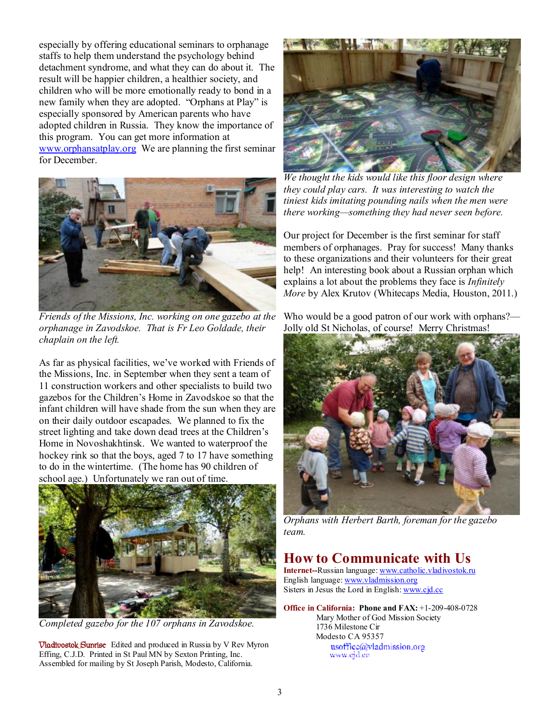especially by offering educational seminars to orphanage staffs to help them understand the psychology behind detachment syndrome, and what they can do about it. The result will be happier children, a healthier society, and children who will be more emotionally ready to bond in a new family when they are adopted. "Orphans at Play" is especially sponsored by American parents who have adopted children in Russia. They know the importance of this program. You can get more information at [www.orphansatplay.org](http://www.orphansatplay.org) We are planning the first seminar for December.



*Friends of the Missions, Inc. working on one gazebo at the orphanage in Zavodskoe. That is Fr Leo Goldade, their chaplain on the left.* 

As far as physical facilities, we've worked with Friends of the Missions, Inc. in September when they sent a team of 11 construction workers and other specialists to build two gazebos for the Children's Home in Zavodskoe so that the infant children will have shade from the sun when they are on their daily outdoor escapades. We planned to fix the street lighting and take down dead trees at the Children's Home in Novoshakhtinsk. We wanted to waterproof the hockey rink so that the boys, aged 7 to 17 have something to do in the wintertime. (The home has 90 children of school age.) Unfortunately we ran out of time.



*Completed gazebo for the 107 orphans in Zavodskoe.* 

**Vladivostok Sunrise** Edited and produced in Russia by V Rev Myron Effing, C.J.D. Printed in St Paul MN by Sexton Printing, Inc. Assembled for mailing by St Joseph Parish, Modesto, California.



*We thought the kids would like this floor design where they could play cars. It was interesting to watch the tiniest kids imitating pounding nails when the men were there working—something they had never seen before.* 

Our project for December is the first seminar for staff members of orphanages. Pray for success! Many thanks to these organizations and their volunteers for their great help! An interesting book about a Russian orphan which explains a lot about the problems they face is *Infinitely More* by Alex Krutov (Whitecaps Media, Houston, 2011.)

Who would be a good patron of our work with orphans?— Jolly old St Nicholas, of course! Merry Christmas!



*Orphans with Herbert Barth, foreman for the gazebo team.* 

## **How to Communicate with Us**

**Internet--**Russian language: [www.catholic.vladivostok.ru](http://www.catholic.vladivostok.ru) English language: [www.vladmission.org](http://www.vladmission.org) Sisters in Jesus the Lord in English: [www.cjd.cc](http://www.cjd.cc)

**Office in California: Phone and FAX:** +1-209-408-0728 Mary Mother of God Mission Society 1736 Milestone Cir Modesto CA 95357 usoffice@vladmission.org www.ejd.ee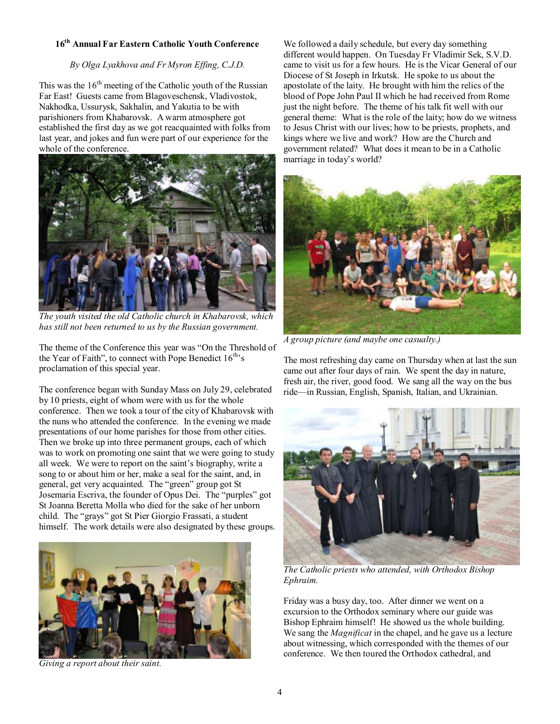#### **16th Annual Far Eastern Catholic Youth Conference**

#### *By Olga Lyakhova and Fr Myron Effing, C.J.D.*

This was the  $16<sup>th</sup>$  meeting of the Catholic youth of the Russian Far East! Guests came from Blagoveschensk, Vladivostok, Nakhodka, Ussurysk, Sakhalin, and Yakutia to be with parishioners from Khabarovsk. A warm atmosphere got established the first day as we got reacquainted with folks from last year, and jokes and fun were part of our experience for the whole of the conference.



*The youth visited the old Catholic church in Khabarovsk, which has still not been returned to us by the Russian government.* 

The theme of the Conference this year was "On the Threshold of the Year of Faith", to connect with Pope Benedict  $16<sup>th</sup>$ 's proclamation of this special year.

The conference began with Sunday Mass on July 29, celebrated by 10 priests, eight of whom were with us for the whole conference. Then we took a tour of the city of Khabarovsk with the nuns who attended the conference. In the evening we made presentations of our home parishes for those from other cities. Then we broke up into three permanent groups, each of which was to work on promoting one saint that we were going to study all week. We were to report on the saint's biography, write a song to or about him or her, make a seal for the saint, and, in general, get very acquainted. The "green" group got St Josemaria Escriva, the founder of Opus Dei. The "purples" got St Joanna Beretta Molla who died for the sake of her unborn child. The "grays" got St Pier Giorgio Frassati, a student himself. The work details were also designated by these groups.



*Giving a report about their saint.* 

We followed a daily schedule, but every day something different would happen. On Tuesday Fr Vladimir Sek, S.V.D. came to visit us for a few hours. He is the Vicar General of our Diocese of St Joseph in Irkutsk. He spoke to us about the apostolate of the laity. He brought with him the relics of the blood of Pope John Paul II which he had received from Rome just the night before. The theme of his talk fit well with our general theme: What is the role of the laity; how do we witness to Jesus Christ with our lives; how to be priests, prophets, and kings where we live and work? How are the Church and government related? What does it mean to be in a Catholic marriage in today's world?



*A group picture (and maybe one casualty.)* 

The most refreshing day came on Thursday when at last the sun came out after four days of rain. We spent the day in nature, fresh air, the river, good food. We sang all the way on the bus ride—in Russian, English, Spanish, Italian, and Ukrainian.



*The Catholic priests who attended, with Orthodox Bishop Ephraim.* 

Friday was a busy day, too. After dinner we went on a excursion to the Orthodox seminary where our guide was Bishop Ephraim himself! He showed us the whole building. We sang the *Magnificat* in the chapel, and he gave us a lecture about witnessing, which corresponded with the themes of our conference. We then toured the Orthodox cathedral, and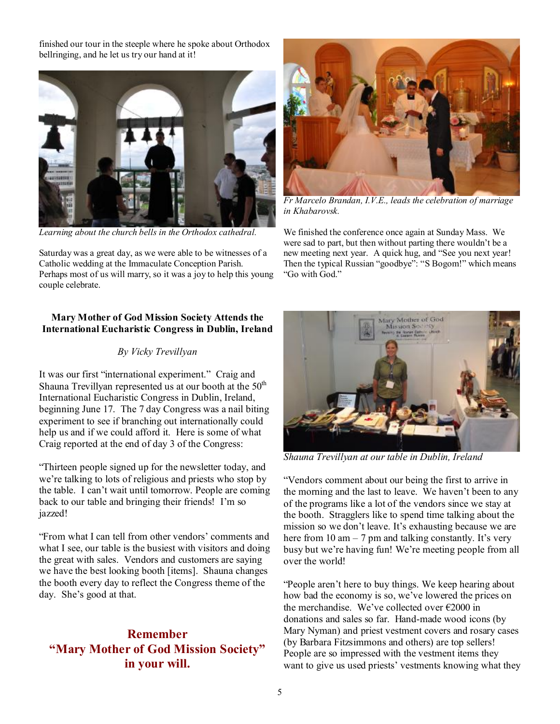finished our tour in the steeple where he spoke about Orthodox bellringing, and he let us try our hand at it!



*Learning about the church bells in the Orthodox cathedral.* 

Saturday was a great day, as we were able to be witnesses of a Catholic wedding at the Immaculate Conception Parish. Perhaps most of us will marry, so it was a joy to help this young couple celebrate.

#### **Mary Mother of God Mission Society Attends the International Eucharistic Congress in Dublin, Ireland**

### *By Vicky Trevillyan*

It was our first "international experiment." Craig and Shauna Trevillyan represented us at our booth at the  $50<sup>th</sup>$ International Eucharistic Congress in Dublin, Ireland, beginning June 17. The 7 day Congress was a nail biting experiment to see if branching out internationally could help us and if we could afford it. Here is some of what Craig reported at the end of day 3 of the Congress:

"Thirteen people signed up for the newsletter today, and we're talking to lots of religious and priests who stop by the table. I can't wait until tomorrow. People are coming back to our table and bringing their friends! I'm so jazzed!

"From what I can tell from other vendors' comments and what I see, our table is the busiest with visitors and doing the great with sales. Vendors and customers are saying we have the best looking booth [items]. Shauna changes the booth every day to reflect the Congress theme of the day. She's good at that.

## **Remember "Mary Mother of God Mission Society" in your will.**



*Fr Marcelo Brandan, I.V.E., leads the celebration of marriage in Khabarovsk.* 

We finished the conference once again at Sunday Mass. We were sad to part, but then without parting there wouldn't be a new meeting next year. A quick hug, and "See you next year! Then the typical Russian "goodbye": "S Bogom!" which means "Go with God."



*Shauna Trevillyan at our table in Dublin, Ireland* 

"Vendors comment about our being the first to arrive in the morning and the last to leave. We haven't been to any of the programs like a lot of the vendors since we stay at the booth. Stragglers like to spend time talking about the mission so we don't leave. It's exhausting because we are here from 10 am  $-7$  pm and talking constantly. It's very busy but we're having fun! We're meeting people from all over the world!

"People aren't here to buy things. We keep hearing about how bad the economy is so, we've lowered the prices on the merchandise. We've collected over €2000 in donations and sales so far. Hand-made wood icons (by Mary Nyman) and priest vestment covers and rosary cases (by Barbara Fitzsimmons and others) are top sellers! People are so impressed with the vestment items they want to give us used priests' vestments knowing what they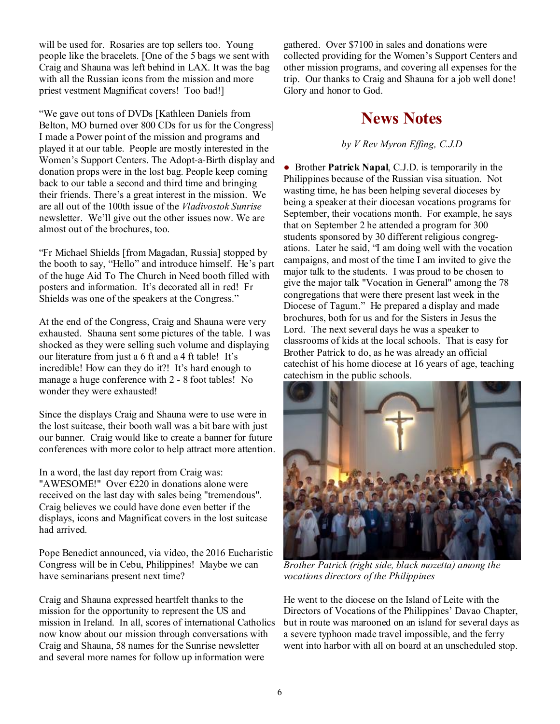will be used for. Rosaries are top sellers too. Young people like the bracelets. [One of the 5 bags we sent with Craig and Shauna was left behind in LAX. It was the bag with all the Russian icons from the mission and more priest vestment Magnificat covers! Too bad!]

"We gave out tons of DVDs [Kathleen Daniels from Belton, MO burned over 800 CDs for us for the Congress] I made a Power point of the mission and programs and played it at our table. People are mostly interested in the Women's Support Centers. The Adopt-a-Birth display and donation props were in the lost bag. People keep coming back to our table a second and third time and bringing their friends. There's a great interest in the mission. We are all out of the 100th issue of the *Vladivostok Sunrise* newsletter. We'll give out the other issues now. We are almost out of the brochures, too.

"Fr Michael Shields [from Magadan, Russia] stopped by the booth to say, "Hello" and introduce himself. He's part of the huge Aid To The Church in Need booth filled with posters and information. It's decorated all in red! Fr Shields was one of the speakers at the Congress."

At the end of the Congress, Craig and Shauna were very exhausted. Shauna sent some pictures of the table. I was shocked as they were selling such volume and displaying our literature from just a 6 ft and a 4 ft table! It's incredible! How can they do it?! It's hard enough to manage a huge conference with 2 - 8 foot tables! No wonder they were exhausted!

Since the displays Craig and Shauna were to use were in the lost suitcase, their booth wall was a bit bare with just our banner. Craig would like to create a banner for future conferences with more color to help attract more attention.

In a word, the last day report from Craig was: "AWESOME!" Over  $\epsilon$ 220 in donations alone were received on the last day with sales being "tremendous". Craig believes we could have done even better if the displays, icons and Magnificat covers in the lost suitcase had arrived.

Pope Benedict announced, via video, the 2016 Eucharistic Congress will be in Cebu, Philippines! Maybe we can have seminarians present next time?

Craig and Shauna expressed heartfelt thanks to the mission for the opportunity to represent the US and mission in Ireland. In all, scores of international Catholics now know about our mission through conversations with Craig and Shauna, 58 names for the Sunrise newsletter and several more names for follow up information were

gathered. Over \$7100 in sales and donations were collected providing for the Women's Support Centers and other mission programs, and covering all expenses for the trip. Our thanks to Craig and Shauna for a job well done! Glory and honor to God.

## **News Notes**

#### *by V Rev Myron Effing, C.J.D*

● Brother **Patrick Napal**, C.J.D. is temporarily in the Philippines because of the Russian visa situation. Not wasting time, he has been helping several dioceses by being a speaker at their diocesan vocations programs for September, their vocations month. For example, he says that on September 2 he attended a program for 300 students sponsored by 30 different religious congregations. Later he said, "I am doing well with the vocation campaigns, and most of the time I am invited to give the major talk to the students. I was proud to be chosen to give the major talk "Vocation in General" among the 78 congregations that were there present last week in the Diocese of Tagum." He prepared a display and made brochures, both for us and for the Sisters in Jesus the Lord. The next several days he was a speaker to classrooms of kids at the local schools. That is easy for Brother Patrick to do, as he was already an official catechist of his home diocese at 16 years of age, teaching catechism in the public schools.



*Brother Patrick (right side, black mozetta) among the vocations directors of the Philippines* 

He went to the diocese on the Island of Leite with the Directors of Vocations of the Philippines' Davao Chapter, but in route was marooned on an island for several days as a severe typhoon made travel impossible, and the ferry went into harbor with all on board at an unscheduled stop.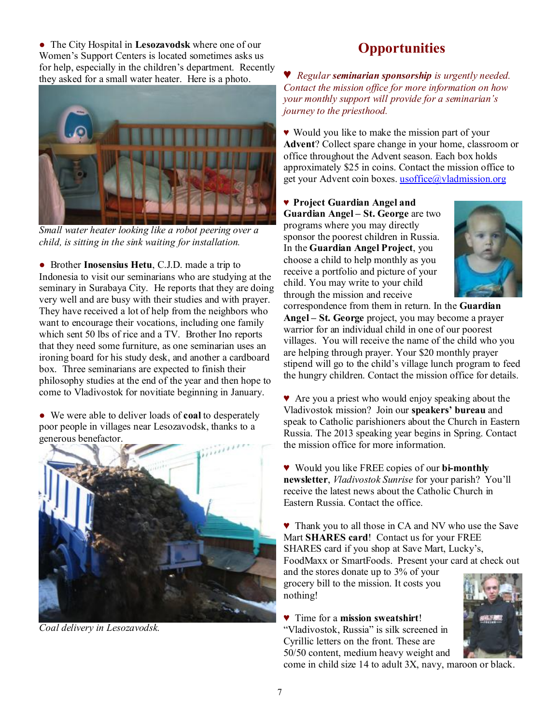● The City Hospital in **Lesozavodsk** where one of our Women's Support Centers is located sometimes asks us for help, especially in the children's department. Recently they asked for a small water heater. Here is a photo.



*Small water heater looking like a robot peering over a child, is sitting in the sink waiting for installation.* 

● Brother **Inosensius Hetu**, C.J.D. made a trip to Indonesia to visit our seminarians who are studying at the seminary in Surabaya City. He reports that they are doing very well and are busy with their studies and with prayer. They have received a lot of help from the neighbors who want to encourage their vocations, including one family which sent 50 lbs of rice and a TV. Brother Ino reports that they need some furniture, as one seminarian uses an ironing board for his study desk, and another a cardboard box. Three seminarians are expected to finish their philosophy studies at the end of the year and then hope to come to Vladivostok for novitiate beginning in January.

● We were able to deliver loads of **coal** to desperately poor people in villages near Lesozavodsk, thanks to a generous benefactor.



*Coal delivery in Lesozavodsk.* 

## **Opportunities**

**♥** *Regular seminarian sponsorship is urgently needed. Contact the mission office for more information on how your monthly support will provide for a seminarian's journey to the priesthood.* 

♥ Would you like to make the mission part of your **Advent**? Collect spare change in your home, classroom or office throughout the Advent season. Each box holds approximately \$25 in coins. Contact the mission office to get your Advent coin boxes. [usoffice@vladmission.org](mailto:usoffice@vladmission.org)

♥ **Project Guardian Angel and Guardian Angel – St. George** are two programs where you may directly sponsor the poorest children in Russia. In the **Guardian Angel Project**, you choose a child to help monthly as you receive a portfolio and picture of your child. You may write to your child through the mission and receive



correspondence from them in return. In the **Guardian Angel – St. George** project, you may become a prayer warrior for an individual child in one of our poorest villages. You will receive the name of the child who you are helping through prayer. Your \$20 monthly prayer stipend will go to the child's village lunch program to feed the hungry children. Contact the mission office for details.

- ♥ Are you a priest who would enjoy speaking about the Vladivostok mission? Join our **speakers' bureau** and speak to Catholic parishioners about the Church in Eastern Russia. The 2013 speaking year begins in Spring. Contact the mission office for more information.
- ♥ Would you like FREE copies of our **bi-monthly newsletter**, *Vladivostok Sunrise* for your parish? You'll receive the latest news about the Catholic Church in Eastern Russia. Contact the office.

♥ Thank you to all those in CA and NV who use the Save Mart **SHARES card**! Contact us for your FREE SHARES card if you shop at Save Mart, Lucky's, FoodMaxx or SmartFoods. Present your card at check out

and the stores donate up to 3% of your grocery bill to the mission. It costs you nothing!

♥ Time for a **mission sweatshirt**!

"Vladivostok, Russia" is silk screened in Cyrillic letters on the front. These are 50/50 content, medium heavy weight and



come in child size 14 to adult 3X, navy, maroon or black.